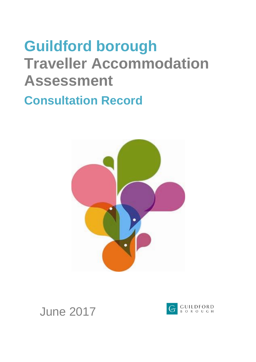# **Guildford borough Traveller Accommodation Assessment**

**Consultation Record**





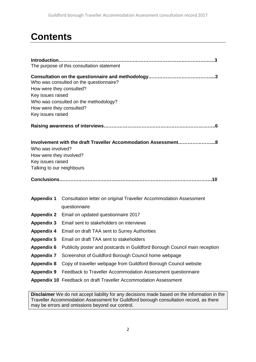## **Contents**

|                                                                                                | The purpose of this consultation statement                                          |
|------------------------------------------------------------------------------------------------|-------------------------------------------------------------------------------------|
| How were they consulted?<br>Key issues raised<br>How were they consulted?<br>Key issues raised | Who was consulted on the questionnaire?<br>Who was consulted on the methodology?    |
|                                                                                                |                                                                                     |
| Who was involved?<br>How were they involved?<br>Key issues raised<br>Talking to our neighbours | Involvement with the draft Traveller Accommodation Assessment8                      |
| <b>Appendix 1</b>                                                                              | Consultation letter on original Traveller Accommodation Assessment<br>questionnaire |
| <b>Appendix 2</b>                                                                              | Email on updated questionnaire 2017                                                 |
| <b>Appendix 3</b>                                                                              | Email sent to stakeholders on interviews                                            |
| <b>Appendix 4</b>                                                                              | Email on draft TAA sent to Surrey Authorities                                       |
| <b>Appendix 5</b>                                                                              | Email on draft TAA sent to stakeholders                                             |
| <b>Appendix 6</b>                                                                              | Publicity poster and postcards in Guildford Borough Council main reception          |
| <b>Appendix 7</b>                                                                              | Screenshot of Guildford Borough Council home webpage                                |
| <b>Appendix 8</b>                                                                              | Copy of traveller webpage from Guildford Borough Council website                    |
| <b>Appendix 9</b>                                                                              | Feedback to Traveller Accommodation Assessment questionnaire                        |
|                                                                                                | Appendix 10 Feedback on draft Traveller Accommodation Assessment                    |

**Disclaimer** We do not accept liability for any decisions made based on the information in the Traveller Accommodation Assessment for Guildford borough consultation record, as there may be errors and omissions beyond our control.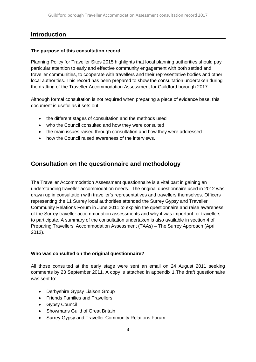## **Introduction**

#### **The purpose of this consultation record**

Planning Policy for Traveller Sites 2015 highlights that local planning authorities should pay particular attention to early and effective community engagement with both settled and traveller communities, to cooperate with travellers and their representative bodies and other local authorities. This record has been prepared to show the consultation undertaken during the drafting of the Traveller Accommodation Assessment for Guildford borough 2017.

Although formal consultation is not required when preparing a piece of evidence base, this document is useful as it sets out:

- the different stages of consultation and the methods used
- who the Council consulted and how they were consulted
- the main issues raised through consultation and how they were addressed
- how the Council raised awareness of the interviews.

## **Consultation on the questionnaire and methodology**

The Traveller Accommodation Assessment questionnaire is a vital part in gaining an understanding traveller accommodation needs. The original questionnaire used in 2012 was drawn up in consultation with traveller's representatives and travellers themselves. Officers representing the 11 Surrey local authorities attended the Surrey Gypsy and Traveller Community Relations Forum in June 2011 to explain the questionnaire and raise awareness of the Surrey traveller accommodation assessments and why it was important for travellers to participate. A summary of the consultation undertaken is also available in section 4 of Preparing Travellers' Accommodation Assessment (TAAs) – The Surrey Approach (April 2012).

#### **Who was consulted on the original questionnaire?**

All those consulted at the early stage were sent an email on 24 August 2011 seeking comments by 23 September 2011. A copy is attached in appendix 1.The draft questionnaire was sent to:

- Derbyshire Gypsy Liaison Group
- Friends Families and Travellers
- Gypsy Council
- Showmans Guild of Great Britain
- Surrey Gypsy and Traveller Community Relations Forum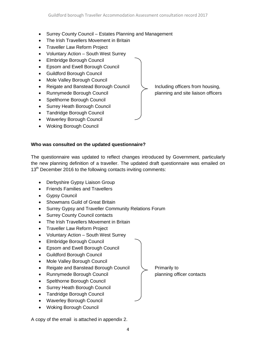- Surrey County Council Estates Planning and Management
- The Irish Travellers Movement in Britain
- Traveller Law Reform Project
- Voluntary Action South West Surrey
- Elmbridge Borough Council
- Epsom and Ewell Borough Council
- Guildford Borough Council
- Mole Valley Borough Council
- Reigate and Banstead Borough Council  $\bigcup$  Including officers from housing,
- Runnymede Borough Council **planning and site liaison officers**
- Spelthorne Borough Council
- Surrey Heath Borough Council
- Tandridge Borough Council
- Waverley Borough Council
- Woking Borough Council

#### **Who was consulted on the updated questionnaire?**

The questionnaire was updated to reflect changes introduced by Government, particularly the new planning definition of a traveller. The updated draft questionnaire was emailed on 13<sup>th</sup> December 2016 to the following contacts inviting comments:

- Derbyshire Gypsy Liaison Group
- Friends Families and Travellers
- Gypsy Council
- Showmans Guild of Great Britain
- Surrey Gypsy and Traveller Community Relations Forum
- Surrey County Council contacts
- The Irish Travellers Movement in Britain
- Traveller Law Reform Project
- Voluntary Action South West Surrey
- Elmbridge Borough Council
- Epsom and Ewell Borough Council
- Guildford Borough Council
- Mole Valley Borough Council
- Reigate and Banstead Borough Council  $\vee$  Primarily to
- Runnymede Borough Council **Example 2** (planning officer contacts
- Spelthorne Borough Council
- Surrey Heath Borough Council
- Tandridge Borough Council
- Waverley Borough Council
- Woking Borough Council

A copy of the email is attached in appendix 2.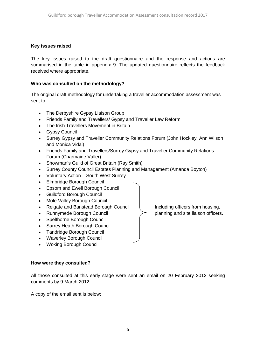#### **Key issues raised**

The key issues raised to the draft questionnaire and the response and actions are summarised in the table in appendix 9. The updated questionnaire reflects the feedback received where appropriate.

#### **Who was consulted on the methodology?**

The original draft methodology for undertaking a traveller accommodation assessment was sent to:

- The Derbyshire Gypsy Liaison Group
- Friends Family and Travellers/ Gypsy and Traveller Law Reform
- The Irish Travellers Movement in Britain
- Gypsy Council
- Surrey Gypsy and Traveller Community Relations Forum (John Hockley, Ann Wilson and Monica Vidal)
- Friends Family and Travellers/Surrey Gypsy and Traveller Community Relations Forum (Charmaine Valler)
- Showman's Guild of Great Britain (Ray Smith)
- Surrey County Council Estates Planning and Management (Amanda Boyton)
- Voluntary Action South West Surrey
- Elmbridge Borough Council
- Epsom and Ewell Borough Council
- Guildford Borough Council
- Mole Valley Borough Council
- Reigate and Banstead Borough Council  $\parallel$  Including officers from housing,
- 
- Spelthorne Borough Council
- Surrey Heath Borough Council
- Tandridge Borough Council
- Waverley Borough Council
- Woking Borough Council

#### **How were they consulted?**

All those consulted at this early stage were sent an email on 20 February 2012 seeking comments by 9 March 2012.

A copy of the email sent is below:

Runnymede Borough Council  $\longrightarrow$  planning and site liaison officers.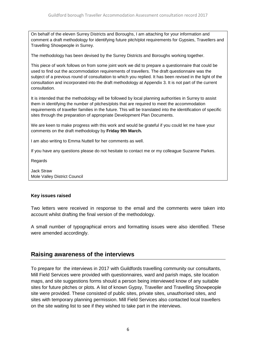On behalf of the eleven Surrey Districts and Boroughs, I am attaching for your information and comment a draft methodology for identifying future pitch/plot requirements for Gypsies, Travellers and Travelling Showpeople in Surrey.

The methodology has been devised by the Surrey Districts and Boroughs working together.

This piece of work follows on from some joint work we did to prepare a questionnaire that could be used to find out the accommodation requirements of travellers. The draft questionnaire was the subject of a previous round of consultation to which you replied. It has been revised in the light of the consultation and incorporated into the draft methodology at Appendix 3. It is not part of the current consultation.

It is intended that the methodology will be followed by local planning authorities in Surrey to assist them in identifying the number of pitches/plots that are required to meet the accommodation requirements of traveller families in the future. This will be translated into the identification of specific sites through the preparation of appropriate Development Plan Documents.

We are keen to make progress with this work and would be grateful if you could let me have your comments on the draft methodology by **Friday 9th March.**

I am also writing to Emma Nuttell for her comments as well.

If you have any questions please do not hesitate to contact me or my colleague Suzanne Parkes.

Regards

Jack Straw Mole Valley District Council

#### **Key issues raised**

Two letters were received in response to the email and the comments were taken into account whilst drafting the final version of the methodology.

A small number of typographical errors and formatting issues were also identified. These were amended accordingly.

## **Raising awareness of the interviews**

To prepare for the interviews in 2017 with Guildfords travelling community our consultants, Mill Field Services were provided with questionnaires, ward and parish maps, site location maps, and site suggestions forms should a person being interviewed know of any suitable sites for future pitches or plots. A list of known Gypsy, Traveller and Travelling Showpeople site were provided. These consisted of public sites, private sites, unauthorised sites, and sites with temporary planning permission. Mill Field Services also contacted local travellers on the site waiting list to see if they wished to take part in the interviews.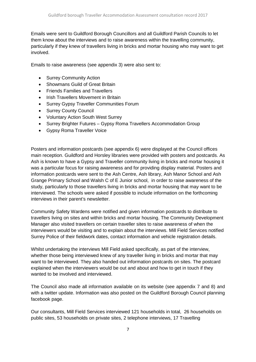Emails were sent to Guildford Borough Councillors and all Guildford Parish Councils to let them know about the interviews and to raise awareness within the travelling community, particularly if they knew of travellers living in bricks and mortar housing who may want to get involved.

Emails to raise awareness (see appendix 3) were also sent to:

- Surrey Community Action
- Showmans Guild of Great Britain
- Friends Families and Travellers
- Irish Travellers Movement in Britain
- Surrey Gypsy Traveller Communities Forum
- Surrey County Council
- Voluntary Action South West Surrey
- Surrey Brighter Futures Gypsy Roma Travellers Accommodation Group
- Gypsy Roma Traveller Voice

Posters and information postcards (see appendix 6) were displayed at the Council offices main reception. Guildford and Horsley libraries were provided with posters and postcards. As Ash is known to have a Gypsy and Traveller community living in bricks and mortar housing it was a particular focus for raising awareness and for providing display material. Posters and information postcards were sent to the Ash Centre, Ash library, Ash Manor School and Ash Grange Primary School and Walsh C of E Junior school, in order to raise awareness of the study, particularly to those travellers living in bricks and mortar housing that may want to be interviewed. The schools were asked if possible to include information on the forthcoming interviews in their parent's newsletter.

Community Safety Wardens were notified and given information postcards to distribute to travellers living on sites and within bricks and mortar housing. The Community Development Manager also visited travellers on certain traveller sites to raise awareness of when the interviewers would be visiting and to explain about the interviews. Mill Field Services notified Surrey Police of their fieldwork dates, contact information and vehicle registration details.

Whilst undertaking the interviews Mill Field asked specifically, as part of the interview, whether those being interviewed knew of any traveller living in bricks and mortar that may want to be interviewed. They also handed out information postcards on sites. The postcard explained when the interviewers would be out and about and how to get in touch if they wanted to be involved and interviewed.

The Council also made all information available on its website (see appendix 7 and 8) and with a twitter update. Information was also posted on the Guildford Borough Council planning facebook page.

Our consultants, Mill Field Services interviewed 121 households in total, 26 households on public sites, 53 households on private sites, 2 telephone interviews, 17 Travelling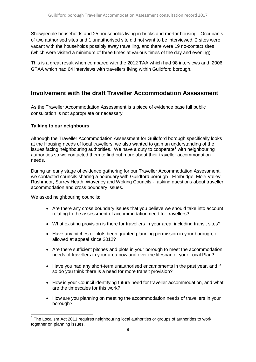Showpeople households and 25 households living in bricks and mortar housing. Occupants of two authorised sites and 1 unauthorised site did not want to be interviewed, 2 sites were vacant with the households possibly away travelling, and there were 19 no-contact sites (which were visited a minimum of three times at various times of the day and evening).

This is a great result when compared with the 2012 TAA which had 98 interviews and 2006 GTAA which had 64 interviews with travellers living within Guildford borough.

## **Involvement with the draft Traveller Accommodation Assessment**

As the Traveller Accommodation Assessment is a piece of evidence base full public consultation is not appropriate or necessary.

#### **Talking to our neighbours**

Although the Traveller Accommodation Assessment for Guildford borough specifically looks at the Housing needs of local travellers, we also wanted to gain an understanding of the issues facing neighbouring authorities. We have a duty to cooperate<sup>[1](#page-7-0)</sup> with neighbouring authorities so we contacted them to find out more about their traveller accommodation needs.

During an early stage of evidence gathering for our Traveller Accommodation Assessment, we contacted councils sharing a boundary with Guildford borough - Elmbridge, Mole Valley, Rushmoor, Surrey Heath, Waverley and Woking Councils - asking questions about traveller accommodation and cross boundary issues.

We asked neighbouring councils:

- Are there any cross boundary issues that you believe we should take into account relating to the assessment of accommodation need for travellers?
- What existing provision is there for travellers in your area, including transit sites?
- Have any pitches or plots been granted planning permission in your borough, or allowed at appeal since 2012?
- Are there sufficient pitches and plots in your borough to meet the accommodation needs of travellers in your area now and over the lifespan of your Local Plan?
- Have you had any short-term unauthorised encampments in the past year, and if so do you think there is a need for more transit provision?
- How is your Council identifying future need for traveller accommodation, and what are the timescales for this work?
- How are you planning on meeting the accommodation needs of travellers in your borough?

<span id="page-7-0"></span> $1$  The Localism Act 2011 requires neighbouring local authorities or groups of authorities to work together on planning issues.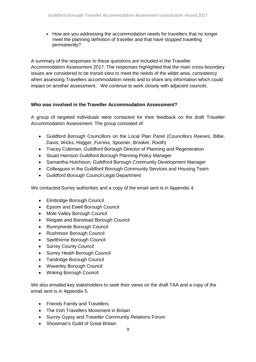• How are you addressing the accommodation needs for travellers that no longer meet the planning definition of traveller and that have stopped travelling permanently?

A summary of the responses to these questions are included in the Traveller Accommodation Assessment 2017. The responses highlighted that the main cross-boundary issues are considered to be transit sites to meet the needs of the wider area, consistency when assessing Travellers accommodation needs and to share any information which could impact on another assessment. We continue to work closely with adjacent councils.

#### **Who was involved in the Traveller Accommodation Assessment?**

A group of targeted individuals were contacted for their feedback on the draft Traveller Accommodation Assessment. The group consisted of:

- Guildford Borough Councillors on the Local Plan Panel (Councillors Reeves, Bilbe, Davis, Wicks, Hogger, Furniss, Spooner, Brooker, Rooth)
- Tracey Coleman, Guildford Borough Director of Planning and Regeneration
- Stuart Harrison Guildford Borough Planning Policy Manager
- Samantha Hutchison, Guildford Borough Community Development Manager
- Colleagues in the Guildford Borough Community Services and Housing Team
- Guildford Borough Council Legal Department

We contacted Surrey authorities and a copy of the email sent is in Appendix 4.

- Elmbridge Borough Council
- Epsom and Ewell Borough Council
- Mole Valley Borough Council
- Reigate and Banstead Borough Council
- Runnymede Borough Council
- Rushmoor Borough Council
- Spelthorne Borough Council
- Surrey County Council
- Surrey Heath Borough Council
- Tandridge Borough Council
- Waverley Borough Council
- Woking Borough Council

We also emailed key stakeholders to seek their views on the draft TAA and a copy of the email sent is in Appendix 5.

- Friends Family and Travellers
- The Irish Travellers Movement in Britain
- Surrey Gypsy and Traveller Community Relations Forum
- Showman's Guild of Great Britain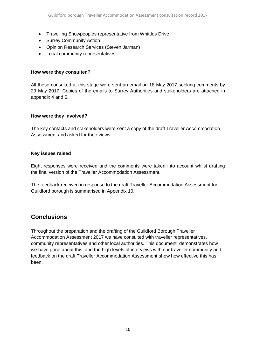- Travelling Showpeoples representative from Whittles Drive
- Surrey Community Action
- Opinion Research Services (Steven Jarman)
- Local community representatives

#### **How were they consulted?**

All those consulted at this stage were sent an email on 18 May 2017 seeking comments by 29 May 2017. Copies of the emails to Surrey Authorities and stakeholders are attached in appendix 4 and 5.

#### **How were they involved?**

The key contacts and stakeholders were sent a copy of the draft Traveller Accommodation Assessment and asked for their views.

#### **Key issues raised**

Eight responses were received and the comments were taken into account whilst drafting the final version of the Traveller Accommodation Assessment.

The feedback received in response to the draft Traveller Accommodation Assessment for Guildford borough is summarised in Appendix 10.

## **Conclusions**

Throughout the preparation and the drafting of the Guildford Borough Traveller Accommodation Assessment 2017 we have consulted with traveller representatives, community representatives and other local authorities. This document demonstrates how we have gone about this, and the high levels of interviews with our traveller community and feedback on the draft Traveller Accommodation Assessment show how effective this has been.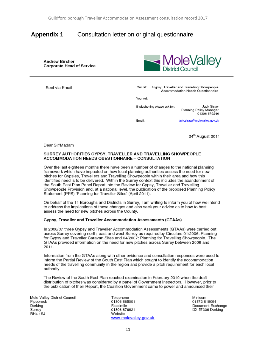## **Appendix 1** Consultation letter on original questionnaire

**Andrew Bircher Corporate Head of Service** 

Sent via Email



Our ref: Gypsy, Traveller and Travelling Showpeople Accommodation Needs Questionnaire

Vour rof:

If telephoning please ask for: Jack Straw Planning Policy Manager 01306 879246

Email:

jack.straw@molevalley.gov.uk

24th August 2011

Dear Sir/Madam

#### SURREY AUTHORITIES GYPSY. TRAVELLER AND TRAVELLING SHOWPEOPLE ACCOMMODATION NEEDS QUESTIONNAIRE - CONSULTATION

Over the last eighteen months there have been a number of changes to the national planning framework which have impacted on how local planning authorities assess the need for new pitches for Gypsies, Travellers and Travelling Showpeople within their area and how this identified need is to be delivered. Within the Surrey context this includes the abandonment of the South East Plan Panel Report into the Review for Gypsy, Traveller and Travelling Showpeople Provision and, at a national level, the publication of the proposed Planning Policy Statement (PPS) 'Planning for Traveller Sites' (April 2011).

On behalf of the 11 Boroughs and Districts in Surrey, I am writing to inform you of how we intend to address the implications of these changes and also seek your advice as to how to best assess the need for new pitches across the County.

#### Gypsy, Traveller and Traveller Accommodation Assessments (GTAAs)

In 2006/07 three Gypsy and Traveller Accommodation Assessments (GTAAs) were carried out across Surrey covering north, east and west Surrey as required by Circulars 01/2006; Planning for Gypsy and Traveller Caravan Sites and 04/2007: Planning for Travelling Showpeople. The GTAAs provided information on the need for new pitches across Surrey between 2006 and 2011

Information from the GTAAs along with other evidence and consultation responses were used to inform the Partial Review of the South East Plan which sought to identify the accommodation needs of the travelling community in the region and provide a pitch requirement for each local authority.

The Review of the South East Plan reached examination in February 2010 when the draft distribution of pitches was considered by a panel of Government Inspectors. However, prior to the publication of their Report, the Coalition Government came to power and announced their

Mole Valley District Council Pippbrook Dorking Surrey RH4 1SJ

Telephone 01306 885001 Facsimile 01306 876821 Website www.molevalley.gov.uk Minicom 01372 819094 Document Exchange DX 57306 Dorking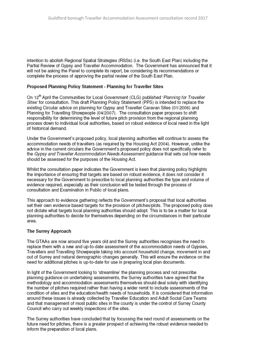intention to abolish Regional Spatial Strategies (RSSs) (i.e. the South East Plan) including the Partial Review of Gypsy and Traveller Accommodation. The Government has announced that it will not be asking the Panel to complete its report, be considering its recommendations or complete the process of approving the partial review of the South East Plan.

#### Proposed Planning Policy Statement - Planning for Traveller Sites

On 12<sup>th</sup> April the Communities for Local Government (CLG) published 'Planning for Traveller Sites' for consultation. This draft Planning Policy Statement (PPS) is intended to replace the existing Circular advice on planning for Gypsy and Traveller Caravan Sites (01/2006) and Planning for Travelling Showpeople (04/2007). The consultation paper proposes to shift responsibility for determining the level of future pitch provision from the regional planning process down to individual local authorities, based on robust evidence of local need in the light of historical demand.

Under the Government's proposed policy, local planning authorities will continue to assess the accommodation needs of travellers (as required by the Housing Act 2004). However, unlike the advice in the current circulars the Government's proposed policy does not specifically refer to the Gypsy and Traveller Accommodation Needs Assessment guidance that sets out how needs should be assessed for the purposes of the Housing Act.

Whilst the consultation paper indicates the Government is keen that planning policy highlights the importance of ensuring that targets are based on robust evidence, it does not consider it necessary for the Government to prescribe to local planning authorities the type and volume of evidence required, especially as their conclusion will be tested through the process of consultation and Examination in Public of local plans.

This approach to evidence gathering reflects the Government's proposal that local authorities set their own evidence based targets for the provision of pitches/plots. The proposed policy does not dictate what targets local planning authorities should adopt. This is to be a matter for local planning authorities to decide for themselves depending on the circumstances in their particular area.

#### The Surrey Approach

The GTAAs are now around five years old and the Surrey authorities recognises the need to replace them with a new and up-to-date assessment of the accommodation needs of Gypsies, Travellers and Travelling Showpeople taking into account household change, movement in and out of Surrey and natural demographic changes generally. This will ensure the evidence on the need for additional pitches is up-to-date for use in preparing local plan documents.

In light of the Government looking to 'streamline' the planning process and not prescribe planning guidance on undertaking assessments, the Surrey authorities have agreed that the methodology and accommodation assessments themselves should deal solely with identifying the number of pitches required rather than having a wider remit to include assessments of the condition of sites and the education/health needs of households. It is considered that information around these issues is already collected by Traveller Education and Adult Social Care Teams and that management of most public sites in the county is under the control of Surrey County Council who carry out weekly inspections of the sites.

The Surrey authorities have concluded that by focussing the next round of assessments on the future need for pitches, there is a greater prospect of achieving the robust evidence needed to inform the preparation of local plans.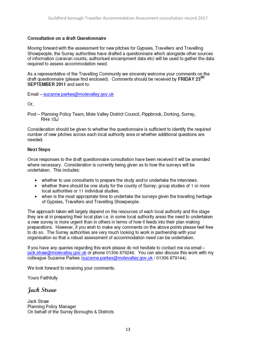#### **Consultation on a draft Questionnaire**

Moving forward with the assessment for new pitches for Gypsies, Travellers and Travelling Showpeople, the Surrey authorities have drafted a questionnaire which alongside other sources of information (caravan counts, authorised encampment data etc) will be used to gather the data required to assess accommodation need.

As a representative of the Travelling Community we sincerely welcome your comments on the draft questionnaire (please find enclosed). Comments should be received by FRIDAY 23<sup>RD</sup> SEPTEMBER 2011 and sent to:

Email - suzanne.parkes@molevalley.gov.uk

Or.

Post - Planning Policy Team, Mole Valley District Council, Pippbrook, Dorking, Surrey, RH<sub>4</sub> 1SJ

Consideration should be given to whether the questionnaire is sufficient to identify the required number of new pitches across each local authority area or whether additional questions are needed.

#### **Next Steps**

Once responses to the draft questionnaire consultation have been received it will be amended where necessary. Consideration is currently being given as to how the surveys will be undertaken. This includes:

- whether to use consultants to prepare the study and/or undertake the interviews.
- whether there should be one study for the county of Surrey; group studies of 1 or more local authorities or 11 individual studies.
- when is the most appropriate time to undertake the surveys given the travelling heritage of Gypsies, Travellers and Travelling Showpeople.

The approach taken will largely depend on the resources of each local authority and the stage they are at in preparing their local plan i.e. in some local authority areas the need to undertaken a new survey is more urgent than in others in terms of how it feeds into their plan making preparations. However, if you wish to make any comments on the above points please feel free to do so. The Surrey authorities are very much looking to work in partnership with your organisation so that a robust assessment of accommodation need can be undertaken.

If you have any queries regarding this work please do not hesitate to contact me via email jack.straw@molevalley.gov.uk or phone 01306 879246. You can also discuss this work with my colleague Suzanne Parkes (suzanne.parkes@molevalley.gov.uk / 01306 879144).

We look forward to receiving your comments.

Yours Faithfully

### Jack Straw

Jack Straw Planning Policy Manager On behalf of the Surrey Boroughs & Districts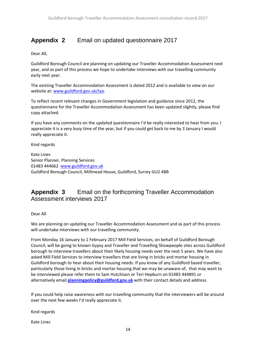## **Appendix 2** Email on updated questionnaire 2017

Dear All,

Guildford Borough Council are planning on updating our Traveller Accommodation Assessment next year, and as part of this process we hope to undertake interviews with our travelling community early next year.

The existing Traveller Accommodation Assessment is dated 2012 and is available to view on our website at: [www.guildford.gov.uk/taa.](http://www.guildford.gov.uk/taa)

To reflect recent relevant changes in Government legislation and guidance since 2012, the questionnaire for the Traveller Accommodation Assessment has been updated slightly, please find copy attached.

If you have any comments on the updated questionnaire I'd be really interested to hear from you. I appreciate it is a very busy time of the year, but if you could get back to me by 3 January I would really appreciate it.

Kind regards

Kate Lines Senior Planner, Planning Services 01483 444662 [www.guildford.gov.uk](http://www.guildford.gov.uk/) Guildford Borough Council, Millmead House, Guildford, Surrey GU2 4BB

## **Appendix 3** Email on the forthcoming Traveller Accommodation Assessment interviews 2017

Dear All

We are planning on updating our Traveller Accommodation Assessment and as part of this process will undertake interviews with our travelling community.

From Monday 16 January to 1 February 2017 Mill Field Services, on behalf of Guildford Borough Council, will be going to known Gypsy and Traveller and Travelling Showpeople sites across Guildford borough to interview travellers about their likely housing needs over the next 5 years. We have also asked Mill Field Services to interview travellers that are living in bricks and mortar housing in Guildford borough to hear about their housing needs. If you know of any Guildford based traveller, particularly those living in bricks and mortar housing that we may be unaware of, that may want to be interviewed please refer them to Sam Hutchison or Teri Hepburn on 01483 444891 or alternatively email **[planningpolicy@guildford.gov.uk](mailto:planningpolicy@guildford.gov.uk)** with their contact details and address.

If you could help raise awareness with our travelling community that the interviewers will be around over the next few weeks I'd really appreciate it.

Kind regards

Kate Lines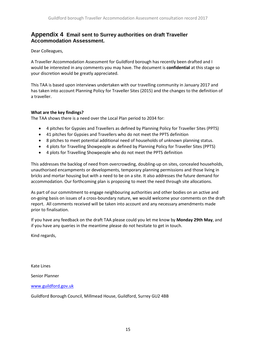## **Appendix 4 Email sent to Surrey authorities on draft Traveller Accommodation Assessment.**

Dear Colleagues,

A Traveller Accommodation Assessment for Guildford borough has recently been drafted and I would be interested in any comments you may have. The document is **confidential** at this stage so your discretion would be greatly appreciated.

This TAA is based upon interviews undertaken with our travelling community in January 2017 and has taken into account Planning Policy for Traveller Sites (2015) and the changes to the definition of a traveller.

#### **What are the key findings?**

The TAA shows there is a need over the Local Plan period to 2034 for:

- 4 pitches for Gypsies and Travellers as defined by Planning Policy for Traveller Sites (PPTS)
- 41 pitches for Gypsies and Travellers who do not meet the PPTS definition
- 8 pitches to meet potential additional need of households of unknown planning status.
- 4 plots for Travelling Showpeople as defined by Planning Policy for Traveller Sites (PPTS)
- 4 plots for Travelling Showpeople who do not meet the PPTS definition

This addresses the backlog of need from overcrowding, doubling-up on sites, concealed households, unauthorised encampments or developments, temporary planning permissions and those living in bricks and mortar housing but with a need to be on a site. It also addresses the future demand for accommodation. Our forthcoming plan is proposing to meet the need through site allocations.

As part of our commitment to engage neighbouring authorities and other bodies on an active and on-going basis on issues of a cross-boundary nature, we would welcome your comments on the draft report. All comments received will be taken into account and any necessary amendments made prior to finalisation.

If you have any feedback on the draft TAA please could you let me know by **Monday 29th May**, and if you have any queries in the meantime please do not hesitate to get in touch.

Kind regards,

Kate Lines

Senior Planner

[www.guildford.gov.uk](http://www.guildford.gov.uk/)

Guildford Borough Council, Millmead House, Guildford, Surrey GU2 4BB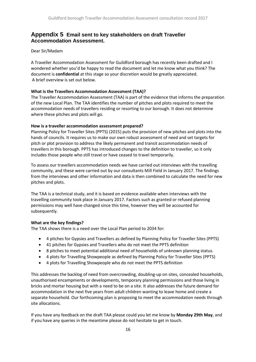## **Appendix 5 Email sent to key stakeholders on draft Traveller Accommodation Assessment.**

#### Dear Sir/Madam

A Traveller Accommodation Assessment for Guildford borough has recently been drafted and I wondered whether you'd be happy to read the document and let me know what you think? The document is **confidential** at this stage so your discretion would be greatly appreciated. A brief overview is set out below.

#### **What is the Travellers Accommodation Assessment (TAA)?**

The Traveller Accommodation Assessment (TAA) is part of the evidence that informs the preparation of the new Local Plan. The TAA identifies the number of pitches and plots required to meet the accommodation needs of travellers residing or resorting to our borough. It does not determine where these pitches and plots will go.

#### **How is a traveller accommodation assessment prepared?**

Planning Policy for Traveller Sites (PPTS) (2015) puts the provision of new pitches and plots into the hands of councils. It requires us to make our own robust assessment of need and set targets for pitch or plot provision to address the likely permanent and transit accommodation needs of travellers in this borough. PPTS has introduced changes to the definition to traveller, so it only includes those people who still travel or have ceased to travel temporarily.

To assess our travellers accommodation needs we have carried out interviews with the travelling community, and these were carried out by our consultants Mill Field in January 2017. The findings from the interviews and other information and data is then combined to calculate the need for new pitches and plots.

The TAA is a technical study, and it is based on evidence available when interviews with the travelling community took place in January 2017. Factors such as granted or refused planning permissions may well have changed since this time, however they will be accounted for subsequently.

#### **What are the key findings?**

The TAA shows there is a need over the Local Plan period to 2034 for:

- 4 pitches for Gypsies and Travellers as defined by Planning Policy for Traveller Sites (PPTS)
- 41 pitches for Gypsies and Travellers who do not meet the PPTS definition
- 8 pitches to meet potential additional need of households of unknown planning status.
- 4 plots for Travelling Showpeople as defined by Planning Policy for Traveller Sites (PPTS)
- 4 plots for Travelling Showpeople who do not meet the PPTS definition

This addresses the backlog of need from overcrowding, doubling-up on sites, concealed households, unauthorised encampments or developments, temporary planning permissions and those living in bricks and mortar housing but with a need to be on a site. It also addresses the future demand for accommodation in the next five years from adult children wanting to leave home and create a separate household. Our forthcoming plan is proposing to meet the accommodation needs through site allocations.

If you have any feedback on the draft TAA please could you let me know by **Monday 29th May**, and if you have any queries in the meantime please do not hesitate to get in touch.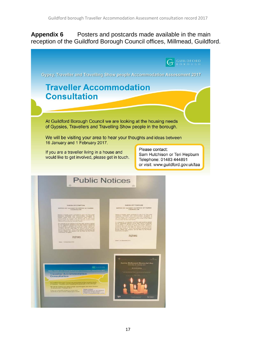**Appendix 6** Posters and postcards made available in the main reception of the Guildford Borough Council offices, Millmead, Guildford.

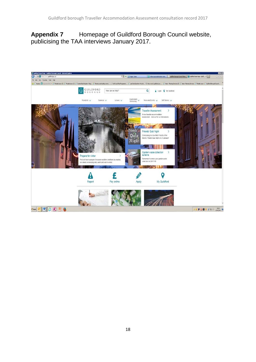## **Appendix 7** Homepage of Guildford Borough Council website, publicising the TAA interviews January 2017.

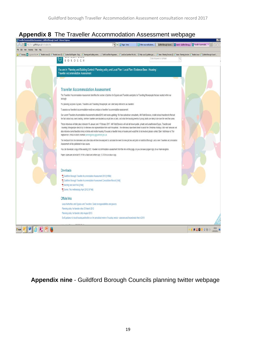## **Appendix 8** The Traveller Accommodation Assessment webpage



**Appendix nine** - Guildford Borough Councils planning twitter webpage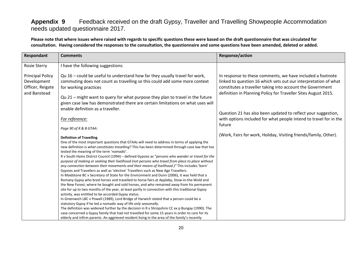## **Appendix 9** Feedback received on the draft Gypsy, Traveller and Travelling Showpeople Accommodation needs updated questionnaire 2017.

**Please note that where issues where raised with regards to specific questions these were based on the draft questionnaire that was circulated for consultation. Having considered the responses to the consultation, the questionnaire and some questions have been amended, deleted or added.** 

| <b>Respondant</b>                                                          | <b>Comments</b>                                                                                                                                                                                                                                                                                                                                                                                                                                                                                                                                                                                                                                                                                                                                                                                                                                                                                                                                                                                                                                                                                                                                                                                                                                                                                                                                                                                                                                                                                                                                                                                                 | <b>Response/action</b>                                                                                                                                                                                                                                        |
|----------------------------------------------------------------------------|-----------------------------------------------------------------------------------------------------------------------------------------------------------------------------------------------------------------------------------------------------------------------------------------------------------------------------------------------------------------------------------------------------------------------------------------------------------------------------------------------------------------------------------------------------------------------------------------------------------------------------------------------------------------------------------------------------------------------------------------------------------------------------------------------------------------------------------------------------------------------------------------------------------------------------------------------------------------------------------------------------------------------------------------------------------------------------------------------------------------------------------------------------------------------------------------------------------------------------------------------------------------------------------------------------------------------------------------------------------------------------------------------------------------------------------------------------------------------------------------------------------------------------------------------------------------------------------------------------------------|---------------------------------------------------------------------------------------------------------------------------------------------------------------------------------------------------------------------------------------------------------------|
| <b>Rosie Sterry</b>                                                        | I have the following suggestions:                                                                                                                                                                                                                                                                                                                                                                                                                                                                                                                                                                                                                                                                                                                                                                                                                                                                                                                                                                                                                                                                                                                                                                                                                                                                                                                                                                                                                                                                                                                                                                               |                                                                                                                                                                                                                                                               |
| <b>Principal Policy</b><br>Development<br>Officer, Reigate<br>and Banstead | Qu $16$ – could be useful to understand how far they usually travel for work,<br>commuting does not count as travelling so this could add some more context<br>for working practices<br>Qu 21 - might want to query for what purpose they plan to travel in the future<br>given case law has demonstrated there are certain limitations on what uses will                                                                                                                                                                                                                                                                                                                                                                                                                                                                                                                                                                                                                                                                                                                                                                                                                                                                                                                                                                                                                                                                                                                                                                                                                                                       | In response to these comments, we have included a footnote<br>linked to question 16 which sets out our interpretation of what<br>constitutes a traveller taking into account the Government<br>definition in Planning Policy for Traveller Sites August 2015. |
|                                                                            | enable definition as a traveller.<br>For reference:                                                                                                                                                                                                                                                                                                                                                                                                                                                                                                                                                                                                                                                                                                                                                                                                                                                                                                                                                                                                                                                                                                                                                                                                                                                                                                                                                                                                                                                                                                                                                             | Question 21 has also been updated to reflect your suggestion,<br>with options included for what people intend to travel for in the                                                                                                                            |
|                                                                            | Page 90 of R & B GTAA:                                                                                                                                                                                                                                                                                                                                                                                                                                                                                                                                                                                                                                                                                                                                                                                                                                                                                                                                                                                                                                                                                                                                                                                                                                                                                                                                                                                                                                                                                                                                                                                          | future                                                                                                                                                                                                                                                        |
|                                                                            | <b>Definition of Travelling</b><br>One of the most important questions that GTAAs will need to address in terms of applying the<br>new definition is what constitutes travelling? This has been determined through case law that has<br>tested the meaning of the term 'nomadic'.<br>R v South Hams District Council (1994) – defined Gypsies as "persons who wander or travel for the<br>purpose of making or seeking their livelihood (not persons who travel from place to place without<br>any connection between their movements and their means of livelihood.)" This includes 'born'<br>Gypsies and Travellers as well as 'elective' Travellers such as New Age Travellers.<br>In Maidstone BC v Secretary of State for the Environment and Dunn (2006), it was held that a<br>Romany Gypsy who bred horses and travelled to horse fairs at Appleby, Stow-in-the-Wold and<br>the New Forest, where he bought and sold horses, and who remained away from his permanent<br>site for up to two months of the year, at least partly in connection with this traditional Gypsy<br>activity, was entitled to be accorded Gypsy status.<br>In Greenwich LBC v Powell (1989), Lord Bridge of Harwich stated that a person could be a<br>statutory Gypsy if he led a nomadic way of life only seasonally.<br>The definition was widened further by the decision in R v Shropshire CC ex p Bungay (1990). The<br>case concerned a Gypsy family that had not travelled for some 15 years in order to care for its<br>elderly and infirm parents. An aggrieved resident living in the area of the family's recently | (Work, Fairs for work, Holiday, Visiting friends/family, Other).                                                                                                                                                                                              |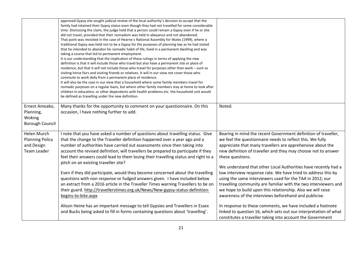|                                                                           | approved Gypsy site sought judicial review of the local authority's decision to accept that the<br>family had retained their Gypsy status even though they had not travelled for some considerable<br>time. Dismissing the claim, the judge held that a person could remain a Gypsy even if he or she<br>did not travel, provided that their nomadism was held in abeyance and not abandoned.<br>That point was revisited in the case of Hearne v National Assembly for Wales (1999), where a<br>traditional Gypsy was held not to be a Gypsy for the purposes of planning law as he had stated<br>that he intended to abandon his nomadic habit of life, lived in a permanent dwelling and was<br>taking a course that led to permanent employment.<br>It is our understanding that the implication of these rulings in terms of applying the new<br>definition is that it will include those who travel but also have a permanent site or place of<br>residence, but that it will not include those who travel for purposes other than work - such as<br>visiting horse fairs and visiting friends or relatives. It will in our view not cover those who<br>commute to work daily from a permanent place of residence.<br>It will also be the case in our view that a household where some family members travel for<br>nomadic purposes on a regular basis, but where other family members stay at home to look after<br>children in education, or other dependents with health problems etc. the household unit would<br>be defined as travelling under the new definition. |                                                                                                                                                                                                                                                                                                                                                                                                                                                                                                                                                                                                                                                                           |
|---------------------------------------------------------------------------|---------------------------------------------------------------------------------------------------------------------------------------------------------------------------------------------------------------------------------------------------------------------------------------------------------------------------------------------------------------------------------------------------------------------------------------------------------------------------------------------------------------------------------------------------------------------------------------------------------------------------------------------------------------------------------------------------------------------------------------------------------------------------------------------------------------------------------------------------------------------------------------------------------------------------------------------------------------------------------------------------------------------------------------------------------------------------------------------------------------------------------------------------------------------------------------------------------------------------------------------------------------------------------------------------------------------------------------------------------------------------------------------------------------------------------------------------------------------------------------------------------------------------------------------------------------------------------|---------------------------------------------------------------------------------------------------------------------------------------------------------------------------------------------------------------------------------------------------------------------------------------------------------------------------------------------------------------------------------------------------------------------------------------------------------------------------------------------------------------------------------------------------------------------------------------------------------------------------------------------------------------------------|
| Ernest Amoako,<br>Planning,<br>Woking<br><b>Borough Council</b>           | Many thanks for the opportunity to comment on your questionnaire. On this<br>occasion, I have nothing further to add.                                                                                                                                                                                                                                                                                                                                                                                                                                                                                                                                                                                                                                                                                                                                                                                                                                                                                                                                                                                                                                                                                                                                                                                                                                                                                                                                                                                                                                                           | Noted.                                                                                                                                                                                                                                                                                                                                                                                                                                                                                                                                                                                                                                                                    |
| Helen Murch<br><b>Planning Policy</b><br>and Design<br><b>Team Leader</b> | I note that you have asked a number of questions about travelling status. Give<br>that the change to the Traveller definition happened over a year ago and a<br>number of authorities have carried out assessments since then taking into<br>account the revised definition, will travellers be prepared to participate if they<br>feel their answers could lead to them losing their travelling status and right to a<br>pitch on an existing traveller site?<br>Even if they did participate, would they become concerned about the travelling<br>questions with non response or fudged answers given. I have included below<br>an extract from a 2016 article in the Traveller Times warning Travellers to be on<br>their guard. http://travellerstimes.org.uk/News/New-gypsy-status-definition-<br>begins-to-bite.aspx                                                                                                                                                                                                                                                                                                                                                                                                                                                                                                                                                                                                                                                                                                                                                      | Bearing in mind the recent Government definition of traveller,<br>we feel the questionnaire needs to reflect this. We fully<br>appreciate that many travellers are apprehensive about the<br>new definition of traveller and they may choose not to answer<br>these questions.<br>We understand that other Local Authorities have recently had a<br>low interview response rate. We have tried to address this by<br>using the same interviewers used for the TAA in 2012; our<br>travelling community are familiar with the two interviewers and<br>we hope to build upon this relationship. Also we will raise<br>awareness of the interviews beforehand and publicise. |
|                                                                           | Alison Heine has an important message to tell Gypsies and Travellers in Essex<br>and Bucks being asked to fill in forms containing questions about 'travelling'.                                                                                                                                                                                                                                                                                                                                                                                                                                                                                                                                                                                                                                                                                                                                                                                                                                                                                                                                                                                                                                                                                                                                                                                                                                                                                                                                                                                                                | In response to these comments, we have included a footnote<br>linked to question 16, which sets out our interpretation of what<br>constitutes a traveller taking into account the Government                                                                                                                                                                                                                                                                                                                                                                                                                                                                              |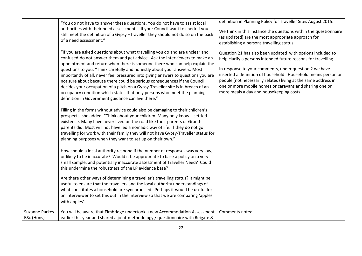|                                      | "You do not have to answer these questions. You do not have to assist local<br>authorities with their need assessments. If your Council want to check if you<br>still meet the definition of a Gypsy-Traveller they should not do so on the back<br>of a need assessment."                                                                                                                                                                                                                                                                                                                                                                                                                                                                                                                                                                                                                                                                                                                                                                                                                                                                                                                                                                                                                                                                                                                                                                                                                                                                                                                                                                                                                                                                                                                                                                             | definition in Planning Policy for Traveller Sites August 2015.<br>We think in this instance the questions within the questionnaire<br>(as updated) are the most appropriate approach for<br>establishing a persons travelling status.                                                                                                                                                                                            |
|--------------------------------------|--------------------------------------------------------------------------------------------------------------------------------------------------------------------------------------------------------------------------------------------------------------------------------------------------------------------------------------------------------------------------------------------------------------------------------------------------------------------------------------------------------------------------------------------------------------------------------------------------------------------------------------------------------------------------------------------------------------------------------------------------------------------------------------------------------------------------------------------------------------------------------------------------------------------------------------------------------------------------------------------------------------------------------------------------------------------------------------------------------------------------------------------------------------------------------------------------------------------------------------------------------------------------------------------------------------------------------------------------------------------------------------------------------------------------------------------------------------------------------------------------------------------------------------------------------------------------------------------------------------------------------------------------------------------------------------------------------------------------------------------------------------------------------------------------------------------------------------------------------|----------------------------------------------------------------------------------------------------------------------------------------------------------------------------------------------------------------------------------------------------------------------------------------------------------------------------------------------------------------------------------------------------------------------------------|
|                                      | "If you are asked questions about what travelling you do and are unclear and<br>confused-do not answer them and get advice. Ask the interviewers to make an<br>appointment and return when there is someone there who can help explain the<br>questions to you. "Think carefully and honestly about your answers. Most<br>importantly of all, never feel pressured into giving answers to questions you are<br>not sure about because there could be serious consequences if the Council<br>decides your occupation of a pitch on a Gypsy-Traveller site is in breach of an<br>occupancy condition which states that only persons who meet the planning<br>definition in Government guidance can live there."<br>Filling in the forms without advice could also be damaging to their children's<br>prospects, she added. "Think about your children. Many only know a settled<br>existence. Many have never lived on the road like their parents or Grand-<br>parents did. Most will not have led a nomadic way of life. If they do not go<br>travelling for work with their family they will not have Gypsy-Traveller status for<br>planning purposes when they want to set up on their own."<br>How should a local authority respond if the number of responses was very low,<br>or likely to be inaccurate? Would it be appropriate to base a policy on a very<br>small sample, and potentially inaccurate assessment of Traveller Need? Could<br>this undermine the robustness of the LP evidence base?<br>Are there other ways of determining a traveller's travelling status? It might be<br>useful to ensure that the travellers and the local authority understandings of<br>what constitutes a household are synchronised. Perhaps it would be useful for<br>an interviewer to set this out in the interview so that we are comparing 'apples | Question 21 has also been updated with options included to<br>help clarify a persons intended future reasons for travelling.<br>In response to your comments, under question 2 we have<br>inserted a definition of household: Household means person or<br>people (not necessarily related) living at the same address in<br>one or more mobile homes or caravans and sharing one or<br>more meals a day and housekeeping costs. |
|                                      | with apples'.                                                                                                                                                                                                                                                                                                                                                                                                                                                                                                                                                                                                                                                                                                                                                                                                                                                                                                                                                                                                                                                                                                                                                                                                                                                                                                                                                                                                                                                                                                                                                                                                                                                                                                                                                                                                                                          |                                                                                                                                                                                                                                                                                                                                                                                                                                  |
| <b>Suzanne Parkes</b><br>BSc (Hons), | You will be aware that Elmbridge undertook a new Accommodation Assessment<br>earlier this year and shared a joint-methodology / questionnaire with Reigate &                                                                                                                                                                                                                                                                                                                                                                                                                                                                                                                                                                                                                                                                                                                                                                                                                                                                                                                                                                                                                                                                                                                                                                                                                                                                                                                                                                                                                                                                                                                                                                                                                                                                                           | Comments noted.                                                                                                                                                                                                                                                                                                                                                                                                                  |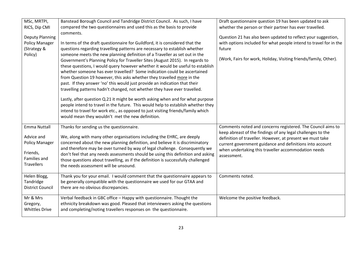| MSc, MRTPI,<br>RICS, Dip CMI<br><b>Deputy Planning</b><br><b>Policy Manager</b><br>(Strategy &<br>Policy)   | Banstead Borough Council and Tandridge District Council. As such, I have<br>compared the two questionnaires and used this as the basis to provide<br>comments.<br>In terms of the draft questionnaire for Guildford, it is considered that the<br>questions regarding travelling patterns are necessary to establish whether<br>someone meets the new planning definition of a Traveller as set out in the<br>Government's Planning Policy for Traveller Sites (August 2015). In regards to<br>these questions, I would query however whether it would be useful to establish<br>whether someone has ever travelled? Some indication could be ascertained<br>from Question 19 however, this asks whether they travelled more in the<br>past. If they answer 'no' this would just provide an indication that their<br>travelling patterns hadn't changed, not whether they have ever travelled.<br>Lastly, after question Q.21 it might be worth asking when and for what purpose<br>people intend to travel in the future. This would help to establish whether they<br>intend to travel for work etc., as opposed to just visiting friends/family which<br>would mean they wouldn't met the new definition. | Draft questionnaire question 19 has been updated to ask<br>whether the person or their partner has ever travelled.<br>Question 21 has also been updated to reflect your suggestion,<br>with options included for what people intend to travel for in the<br>future<br>(Work, Fairs for work, Holiday, Visiting friends/family, Other). |
|-------------------------------------------------------------------------------------------------------------|--------------------------------------------------------------------------------------------------------------------------------------------------------------------------------------------------------------------------------------------------------------------------------------------------------------------------------------------------------------------------------------------------------------------------------------------------------------------------------------------------------------------------------------------------------------------------------------------------------------------------------------------------------------------------------------------------------------------------------------------------------------------------------------------------------------------------------------------------------------------------------------------------------------------------------------------------------------------------------------------------------------------------------------------------------------------------------------------------------------------------------------------------------------------------------------------------------------|----------------------------------------------------------------------------------------------------------------------------------------------------------------------------------------------------------------------------------------------------------------------------------------------------------------------------------------|
| <b>Emma Nuttall</b><br>Advice and<br><b>Policy Manager</b><br>Friends,<br>Families and<br><b>Travellers</b> | Thanks for sending us the questionnaire.<br>We, along with many other organisations including the EHRC, are deeply<br>concerned about the new planning definition, and believe it is discriminatory<br>and therefore may be over turned by way of legal challenge. Consequently we<br>don't feel that any needs assessments should be using this definition and asking<br>those questions about travelling, as if the definition is successfully challenged<br>the needs assessment will be unsound.                                                                                                                                                                                                                                                                                                                                                                                                                                                                                                                                                                                                                                                                                                         | Comments noted and concerns registered. The Council aims to<br>keep abreast of the findings of any legal challenges to the<br>definition of traveller. However, at present we must take<br>current government guidance and definitions into account<br>when undertaking this traveller accommodation needs<br>assessment.              |
| Helen Blogg,<br>Tandridge<br><b>District Council</b>                                                        | Thank you for your email. I would comment that the questionnaire appears to<br>be generally compatible with the questionnaire we used for our GTAA and<br>there are no obvious discrepancies.                                                                                                                                                                                                                                                                                                                                                                                                                                                                                                                                                                                                                                                                                                                                                                                                                                                                                                                                                                                                                | Comments noted.                                                                                                                                                                                                                                                                                                                        |
| Mr & Mrs<br>Gregory,<br><b>Whittles Drive</b>                                                               | Verbal feedback in GBC office - Happy with questionnaire. Thought the<br>ethnicity breakdown was good. Pleased that interviewers asking the questions<br>and completing/noting travellers responses on the questionnaire.                                                                                                                                                                                                                                                                                                                                                                                                                                                                                                                                                                                                                                                                                                                                                                                                                                                                                                                                                                                    | Welcome the positive feedback.                                                                                                                                                                                                                                                                                                         |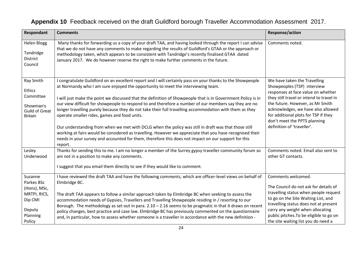| Respondant                                                                                       | <b>Comments</b>                                                                                                                                                                                                                                                                                                                                                                                                                                                                                                                                                                                                                                                                                                                                                                                                                                                                                                          | <b>Response/action</b>                                                                                                                                                                                                                                                                                                        |
|--------------------------------------------------------------------------------------------------|--------------------------------------------------------------------------------------------------------------------------------------------------------------------------------------------------------------------------------------------------------------------------------------------------------------------------------------------------------------------------------------------------------------------------------------------------------------------------------------------------------------------------------------------------------------------------------------------------------------------------------------------------------------------------------------------------------------------------------------------------------------------------------------------------------------------------------------------------------------------------------------------------------------------------|-------------------------------------------------------------------------------------------------------------------------------------------------------------------------------------------------------------------------------------------------------------------------------------------------------------------------------|
| <b>Helen Blogg</b><br>Tandridge<br><b>District</b><br>Council                                    | Many thanks for forwarding us a copy of your draft TAA, and having looked through the report I can advise<br>that we do not have any comments to make regarding the results of Guildford's GTAA or the approach or<br>methodology taken, which appears to be consistent with Tandridge's recently finalised GTAA dated<br>January 2017. We do however reserve the right to make further comments in the future.                                                                                                                                                                                                                                                                                                                                                                                                                                                                                                          | Comments noted.                                                                                                                                                                                                                                                                                                               |
| Ray Smith<br>Ethics<br>Committee<br>Showman's<br><b>Guild of Great</b><br><b>Britain</b>         | I congratulate Guildford on an excellent report and I will certainly pass on your thanks to the Showpeople<br>at Normandy who I am sure enjoyed the opportunity to meet the interviewing team.<br>I will just make the point we discussed that the definition of Showpeople that is in Government Policy is in<br>our view difficult for showpeople to respond to and therefore a number of our members say they are no<br>longer travelling purely because they do not take their full travelling accommodation with them as they<br>operate smaller rides, games and food units.<br>Our understanding from when we met with DCLG when the policy was still in draft was that those still<br>working at fairs would be considered as travelling. However we appreciate that you have recognised their<br>needs in your survey and accounted for them, therefore this does not impact on our support for this<br>report. | We have taken the Travelling<br>Showpeoples (TSP) interview<br>responses at face value on whether<br>they still travel or intend to travel in<br>the future. However, as Mr Smith<br>acknowledges, we have also allowed<br>for additional plots for TSP if they<br>don't meet the PPTS planning<br>definition of 'traveller'. |
| Lesley<br>Underwood                                                                              | Thanks for sending this to me. I am no longer a member of the Surrey gypsy traveller community forum so<br>am not in a position to make any comments.<br>I suggest that you email them directly to see if they would like to comment.                                                                                                                                                                                                                                                                                                                                                                                                                                                                                                                                                                                                                                                                                    | Comments noted. Email also sent to<br>other GT contacts.                                                                                                                                                                                                                                                                      |
| Suzanne<br>Parkes BSc<br>(Hons), MSc,<br>MRTPI, RICS,<br>Dip CMI<br>Deputy<br>Planning<br>Policy | I have reviewed the draft TAA and have the following comments, which are officer-level views on behalf of<br>Elmbridge BC.<br>The draft TAA appears to follow a similar approach taken by Elmbridge BC when seeking to assess the<br>accommodation needs of Gypsies, Travellers and Travelling Showpeople residing in / resorting to our<br>Borough. The methodology as set out in para. $2.10 - 2.16$ seems to be pragmatic in that it draws on recent<br>policy changes, best practice and case law. Elmbridge BC has previously commented on the questionnaire<br>and, in particular, how to assess whether someone is a traveller in accordance with the new definition -                                                                                                                                                                                                                                            | Comments welcomed.<br>The Council do not ask for details of<br>travelling status when people request<br>to go on the Site Waiting List, and<br>travelling status does not at present<br>carry any weight when allocating<br>public pitches. To be eligible to go on<br>the site waiting list you do need a                    |

## **Appendix 10** Feedback received on the draft Guildford borough Traveller Accommodation Assessment 2017.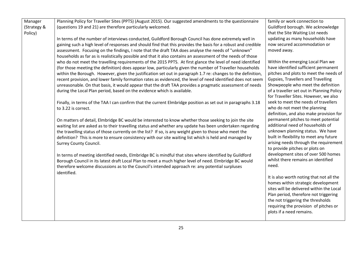| Manager     | Planning Policy for Traveller Sites (PPTS) (August 2015). Our suggested amendments to the questionnaire       | family or work connection to                                            |
|-------------|---------------------------------------------------------------------------------------------------------------|-------------------------------------------------------------------------|
| (Strategy & | (questions 19 and 21) are therefore particularly welcomed.                                                    | Guildford borough. We acknowledge                                       |
| Policy)     |                                                                                                               | that the Site Waiting List needs                                        |
|             | In terms of the number of interviews conducted, Guildford Borough Council has done extremely well in          | updating as many households have                                        |
|             | gaining such a high level of responses and should find that this provides the basis for a robust and credible | now secured accommodation or                                            |
|             | assessment. Focusing on the findings, I note that the draft TAA does analyse the needs of "unknown"           | moved away.                                                             |
|             | households as far as is realistically possible and that it also contains an assessment of the needs of those  |                                                                         |
|             | who do not meet the travelling requirements of the 2015 PPTS. At first glance the level of need identified    | Within the emerging Local Plan we                                       |
|             | (for those meeting the definition) does appear low, particularly given the number of Traveller households     | have identified sufficient permanent                                    |
|             | within the Borough. However, given the justification set out in paragraph 1.7 re: changes to the definition,  | pitches and plots to meet the needs of                                  |
|             | recent provision, and lower family formation rates as evidenced, the level of need identified does not seem   | Gypsies, Travellers and Travelling                                      |
|             | unreasonable. On that basis, it would appear that the draft TAA provides a pragmatic assessment of needs      | Showpeople who meet the definition                                      |
|             | during the Local Plan period, based on the evidence which is available.                                       | of a traveller set out in Planning Policy                               |
|             |                                                                                                               | for Traveller Sites. However, we also                                   |
|             | Finally, in terms of the TAA I can confirm that the current Elmbridge position as set out in paragraphs 3.18  | seek to meet the needs of travellers                                    |
|             | to 3.22 is correct.                                                                                           | who do not meet the planning                                            |
|             |                                                                                                               | definition, and also make provision for                                 |
|             | On matters of detail, Elmbridge BC would be interested to know whether those seeking to join the site         | permanent pitches to meet potential                                     |
|             | waiting list are asked as to their travelling status and whether any update has been undertaken regarding     | additional need of households of                                        |
|             | the travelling status of those currently on the list? If so, is any weight given to those who meet the        | unknown planning status. We have                                        |
|             | definition? This is more to ensure consistency with our site waiting list which is held and managed by        | built in flexibility to meet any future                                 |
|             | <b>Surrey County Council.</b>                                                                                 | arising needs through the requirement<br>to provide pitches or plots on |
|             |                                                                                                               | development sites of over 500 homes                                     |
|             | In terms of meeting identified needs, Elmbridge BC is mindful that sites where identified by Guildford        | whilst there remains an identified                                      |
|             | Borough Council in its latest draft Local Plan to meet a much higher level of need. Elmbridge BC would        | need.                                                                   |
|             | therefore welcome discussions as to the Council's intended approach re: any potential surpluses               |                                                                         |
|             | identified.                                                                                                   | It is also worth noting that not all the                                |
|             |                                                                                                               | homes within strategic development                                      |
|             |                                                                                                               | sites will be delivered within the Local                                |
|             |                                                                                                               | Plan period, therefore not triggering                                   |
|             |                                                                                                               | the not triggering the thresholds                                       |
|             |                                                                                                               | requiring the provision of pitches or                                   |
|             |                                                                                                               | plots if a need remains.                                                |
|             |                                                                                                               |                                                                         |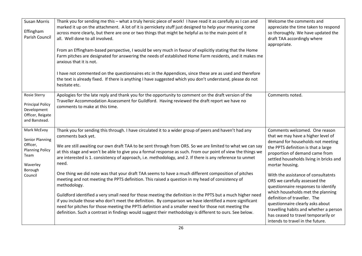| <b>Susan Morris</b><br>Effingham<br>Parish Council                                          | Thank you for sending me this - what a truly heroic piece of work! I have read it as carefully as I can and<br>marked it up on the attachment. A lot of it is pernickety stuff just designed to help your meaning come<br>across more clearly, but there are one or two things that might be helpful as to the main point of it<br>all. Well done to all involved.<br>From an Effingham-based perspective, I would be very much in favour of explicitly stating that the Home<br>Farm pitches are designated for answering the needs of established Home Farm residents, and it makes me<br>anxious that it is not.<br>I have not commented on the questionnaires etc in the Appendices, since these are as used and therefore<br>the text is already fixed. If there is anything I have suggested which you don't understand, please do not<br>hesitate etc. | Welcome the comments and<br>appreciate the time taken to respond<br>so thoroughly. We have updated the<br>draft TAA accordingly where<br>appropriate.                                                                                                                                                                                     |
|---------------------------------------------------------------------------------------------|---------------------------------------------------------------------------------------------------------------------------------------------------------------------------------------------------------------------------------------------------------------------------------------------------------------------------------------------------------------------------------------------------------------------------------------------------------------------------------------------------------------------------------------------------------------------------------------------------------------------------------------------------------------------------------------------------------------------------------------------------------------------------------------------------------------------------------------------------------------|-------------------------------------------------------------------------------------------------------------------------------------------------------------------------------------------------------------------------------------------------------------------------------------------------------------------------------------------|
| Rosie Sterry<br><b>Principal Policy</b><br>Development<br>Officer, Reigate<br>and Banstead. | Apologies for the late reply and thank you for the opportunity to comment on the draft version of the<br>Traveller Accommodation Assessment for Guildford. Having reviewed the draft report we have no<br>comments to make at this time.                                                                                                                                                                                                                                                                                                                                                                                                                                                                                                                                                                                                                      | Comments noted.                                                                                                                                                                                                                                                                                                                           |
| Mark McEvoy<br>Senior Planning<br>Officer,<br><b>Planning Policy</b><br>Team<br>Waverley    | Thank you for sending this through. I have circulated it to a wider group of peers and haven't had any<br>comments back yet.<br>We are still awaiting our own draft TAA to be sent through from ORS. So we are limited to what we can say<br>at this stage and won't be able to give you a formal response as such. From our point of view the things we<br>are interested is 1. consistency of approach, i.e. methodology, and 2. If there is any reference to unmet<br>need.                                                                                                                                                                                                                                                                                                                                                                                | Comments welcomed. One reason<br>that we may have a higher level of<br>demand for households not meeting<br>the PPTS definition is that a large<br>proportion of demand came from<br>settled households living in bricks and<br>mortar housing.                                                                                           |
| Borough<br>Council                                                                          | One thing we did note was that your draft TAA seems to have a much different composition of pitches<br>meeting and not meeting the PPTS definition. This raised a question in my head of consistency of<br>methodology.<br>Guildford identified a very small need for those meeting the definition in the PPTS but a much higher need<br>if you include those who don't meet the definition. By comparison we have identified a more significant<br>need for pitches for those meeting the PPTS definition and a smaller need for those not meeting the<br>definition. Such a contrast in findings would suggest their methodology is different to ours. See below.                                                                                                                                                                                           | With the assistance of consultatnts<br>ORS we carefully assessed the<br>questionnaire responses to identify<br>which households met the planning<br>definition of traveller. The<br>questionnaire clearly asks about<br>travelling habits and whether a person<br>has ceased to travel temporarily or<br>intends to travel in the future. |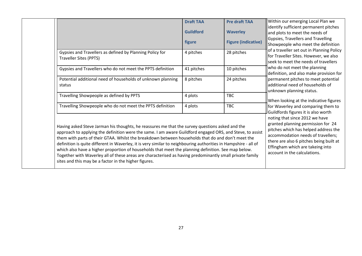|                                                                                           | <b>Draft TAA</b>                                                                                                                                                                                                                                                                                                                                                                                                                                                                                                                                                                                                                                        | <b>Pre draft TAA</b>       | Within our emerging Local Plan we                                                                                                                                                                                          |
|-------------------------------------------------------------------------------------------|---------------------------------------------------------------------------------------------------------------------------------------------------------------------------------------------------------------------------------------------------------------------------------------------------------------------------------------------------------------------------------------------------------------------------------------------------------------------------------------------------------------------------------------------------------------------------------------------------------------------------------------------------------|----------------------------|----------------------------------------------------------------------------------------------------------------------------------------------------------------------------------------------------------------------------|
|                                                                                           | <b>Guildford</b>                                                                                                                                                                                                                                                                                                                                                                                                                                                                                                                                                                                                                                        | <b>Waverley</b>            | lidentify sufficient permanent pitches<br>and plots to meet the needs of                                                                                                                                                   |
|                                                                                           | figure                                                                                                                                                                                                                                                                                                                                                                                                                                                                                                                                                                                                                                                  | <b>Figure (indicative)</b> | Gypsies, Travellers and Travelling<br>Showpeople who meet the definition                                                                                                                                                   |
| Gypsies and Travellers as defined by Planning Policy for<br><b>Traveller Sites (PPTS)</b> | 4 pitches                                                                                                                                                                                                                                                                                                                                                                                                                                                                                                                                                                                                                                               | 28 pitches                 | of a traveller set out in Planning Policy<br>for Traveller Sites. However, we also<br>seek to meet the needs of travellers                                                                                                 |
| Gypsies and Travellers who do not meet the PPTS definition                                | 41 pitches                                                                                                                                                                                                                                                                                                                                                                                                                                                                                                                                                                                                                                              | 10 pitches                 | who do not meet the planning<br>definition, and also make provision for                                                                                                                                                    |
| Potential additional need of households of unknown planning<br>status                     | 8 pitches                                                                                                                                                                                                                                                                                                                                                                                                                                                                                                                                                                                                                                               | 24 pitches                 | permanent pitches to meet potential<br>additional need of households of<br>unknown planning status.<br>When looking at the indicative figures<br>for Waverley and comparing them to<br>Guildfords figures it is also worth |
| Travelling Showpeople as defined by PPTS                                                  | 4 plots                                                                                                                                                                                                                                                                                                                                                                                                                                                                                                                                                                                                                                                 | <b>TBC</b>                 |                                                                                                                                                                                                                            |
| Travelling Showpeople who do not meet the PPTS definition                                 | 4 plots                                                                                                                                                                                                                                                                                                                                                                                                                                                                                                                                                                                                                                                 | <b>TBC</b>                 |                                                                                                                                                                                                                            |
| sites and this may be a factor in the higher figures.                                     | Having asked Steve Jarman his thoughts, he reassures me that the survey questions asked and the<br>approach to applying the definition were the same. I am aware Guildford engaged ORS, and Steve, to assist<br>them with parts of their GTAA. Whilst the breakdown between households that do and don't meet the<br>definition is quite different in Waverley, it is very similar to neighbouring authorities in Hampshire - all of<br>which also have a higher proportion of households that meet the planning definition. See map below.<br>Together with Waverley all of these areas are characterised as having predominantly small private family |                            |                                                                                                                                                                                                                            |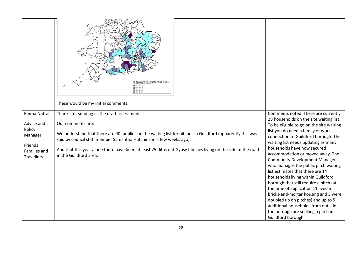|                                                                                 | <b>Households Meeting Planning Definition</b><br>These would be my initial comments.                                                                                                                                                                                                                                                            |                                                                                                                                                                                                                                                                                                                                                                                                                                                                                                                                                                                                                                                                                                       |
|---------------------------------------------------------------------------------|-------------------------------------------------------------------------------------------------------------------------------------------------------------------------------------------------------------------------------------------------------------------------------------------------------------------------------------------------|-------------------------------------------------------------------------------------------------------------------------------------------------------------------------------------------------------------------------------------------------------------------------------------------------------------------------------------------------------------------------------------------------------------------------------------------------------------------------------------------------------------------------------------------------------------------------------------------------------------------------------------------------------------------------------------------------------|
| <b>Emma Nuttall</b>                                                             | Thanks for sending us the draft assessment.                                                                                                                                                                                                                                                                                                     | Comments noted. There are currently                                                                                                                                                                                                                                                                                                                                                                                                                                                                                                                                                                                                                                                                   |
| Advice and<br>Policy<br>Manager<br>Friends<br>Families and<br><b>Travellers</b> | Our comments are:<br>We understand that there are 90 families on the waiting list for pitches in Guildford (apparently this was<br>said by council staff member Samantha Hutchinson a few weeks ago).<br>And that this year alone there have been at least 25 different Gypsy families living on the side of the road<br>in the Guildford area. | 28 households on the site waiting list.<br>To be eligible to go on the site waiting<br>list you do need a family or work<br>connection to Guildford borough. The<br>waiting list needs updating as many<br>households have now secured<br>accommodation or moved away. The<br><b>Community Development Manager</b><br>who manages the public pitch waiting<br>list estimates that there are 14<br>households living within Guildford<br>borough that still require a pitch (at<br>the time of application 11 lived in<br>bricks-and-mortar housing and 3 were<br>doubled up on pitches) and up to 5<br>additional households from outside<br>the borough are seeking a pitch in<br>Guildford borough. |